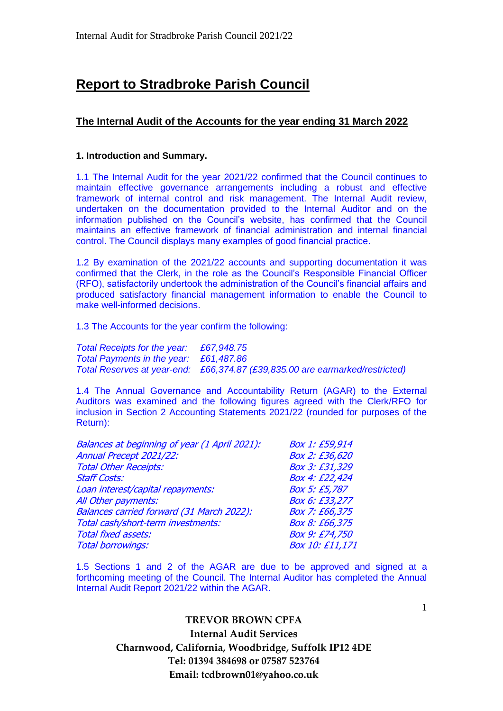# **Report to Stradbroke Parish Council**

# **The Internal Audit of the Accounts for the year ending 31 March 2022**

# **1. Introduction and Summary.**

1.1 The Internal Audit for the year 2021/22 confirmed that the Council continues to maintain effective governance arrangements including a robust and effective framework of internal control and risk management. The Internal Audit review, undertaken on the documentation provided to the Internal Auditor and on the information published on the Council's website, has confirmed that the Council maintains an effective framework of financial administration and internal financial control. The Council displays many examples of good financial practice.

1.2 By examination of the 2021/22 accounts and supporting documentation it was confirmed that the Clerk, in the role as the Council's Responsible Financial Officer (RFO), satisfactorily undertook the administration of the Council's financial affairs and produced satisfactory financial management information to enable the Council to make well-informed decisions.

1.3 The Accounts for the year confirm the following:

*Total Receipts for the year: £67,948.75 Total Payments in the year: £61,487.86 Total Reserves at year-end: £66,374.87 (£39,835.00 are earmarked/restricted)*

1.4 The Annual Governance and Accountability Return (AGAR) to the External Auditors was examined and the following figures agreed with the Clerk/RFO for inclusion in Section 2 Accounting Statements 2021/22 (rounded for purposes of the Return):

| Annual Precept 2021/22:<br><b>Total Other Receipts:</b><br><b>Staff Costs:</b> | Box 1: £59,914  |
|--------------------------------------------------------------------------------|-----------------|
|                                                                                | Box 2: £36,620  |
|                                                                                | Box 3: £31,329  |
|                                                                                | Box 4: £22,424  |
| Loan interest/capital repayments:                                              | Box 5: £5,787   |
| All Other payments:                                                            | Box 6: £33,277  |
| Balances carried forward (31 March 2022):                                      | Box 7: £66,375  |
| Total cash/short-term investments:                                             | Box 8: £66,375  |
| <b>Total fixed assets:</b>                                                     | Box 9: £74,750  |
| <b>Total borrowings:</b>                                                       | Box 10: £11,171 |

1.5 Sections 1 and 2 of the AGAR are due to be approved and signed at a forthcoming meeting of the Council. The Internal Auditor has completed the Annual Internal Audit Report 2021/22 within the AGAR.

> **TREVOR BROWN CPFA Internal Audit Services Charnwood, California, Woodbridge, Suffolk IP12 4DE Tel: 01394 384698 or 07587 523764 Email: tcdbrown01@yahoo.co.uk**

1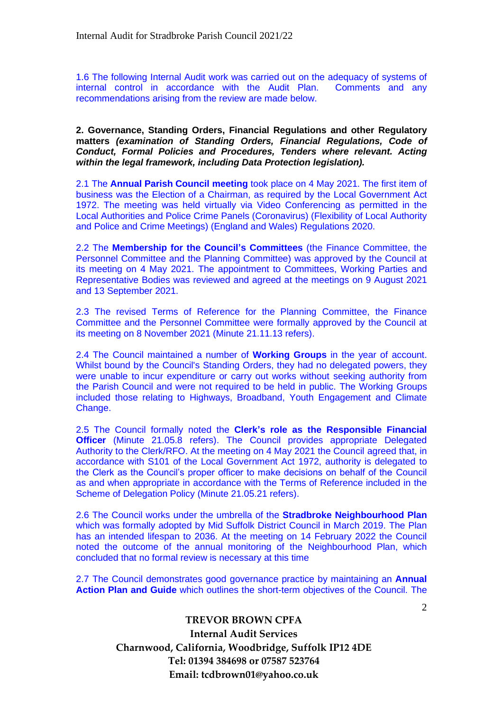1.6 The following Internal Audit work was carried out on the adequacy of systems of internal control in accordance with the Audit Plan. Comments and any recommendations arising from the review are made below.

**2. Governance, Standing Orders, Financial Regulations and other Regulatory matters** *(examination of Standing Orders, Financial Regulations, Code of Conduct, Formal Policies and Procedures, Tenders where relevant. Acting within the legal framework, including Data Protection legislation).*

2.1 The **Annual Parish Council meeting** took place on 4 May 2021. The first item of business was the Election of a Chairman, as required by the Local Government Act 1972. The meeting was held virtually via Video Conferencing as permitted in the Local Authorities and Police Crime Panels (Coronavirus) (Flexibility of Local Authority and Police and Crime Meetings) (England and Wales) Regulations 2020.

2.2 The **Membership for the Council's Committees** (the Finance Committee, the Personnel Committee and the Planning Committee) was approved by the Council at its meeting on 4 May 2021. The appointment to Committees, Working Parties and Representative Bodies was reviewed and agreed at the meetings on 9 August 2021 and 13 September 2021.

2.3 The revised Terms of Reference for the Planning Committee, the Finance Committee and the Personnel Committee were formally approved by the Council at its meeting on 8 November 2021 (Minute 21.11.13 refers).

2.4 The Council maintained a number of **Working Groups** in the year of account. Whilst bound by the Council's Standing Orders, they had no delegated powers, they were unable to incur expenditure or carry out works without seeking authority from the Parish Council and were not required to be held in public. The Working Groups included those relating to Highways, Broadband, Youth Engagement and Climate Change.

2.5 The Council formally noted the **Clerk's role as the Responsible Financial Officer** (Minute 21.05.8 refers). The Council provides appropriate Delegated Authority to the Clerk/RFO. At the meeting on 4 May 2021 the Council agreed that, in accordance with S101 of the Local Government Act 1972, authority is delegated to the Clerk as the Council's proper officer to make decisions on behalf of the Council as and when appropriate in accordance with the Terms of Reference included in the Scheme of Delegation Policy (Minute 21.05.21 refers).

2.6 The Council works under the umbrella of the **Stradbroke Neighbourhood Plan** which was formally adopted by Mid Suffolk District Council in March 2019. The Plan has an intended lifespan to 2036. At the meeting on 14 February 2022 the Council noted the outcome of the annual monitoring of the Neighbourhood Plan, which concluded that no formal review is necessary at this time

2.7 The Council demonstrates good governance practice by maintaining an **Annual Action Plan and Guide** which outlines the short-term objectives of the Council. The

> **TREVOR BROWN CPFA Internal Audit Services Charnwood, California, Woodbridge, Suffolk IP12 4DE Tel: 01394 384698 or 07587 523764 Email: tcdbrown01@yahoo.co.uk**

 $\mathcal{D}_{\alpha}$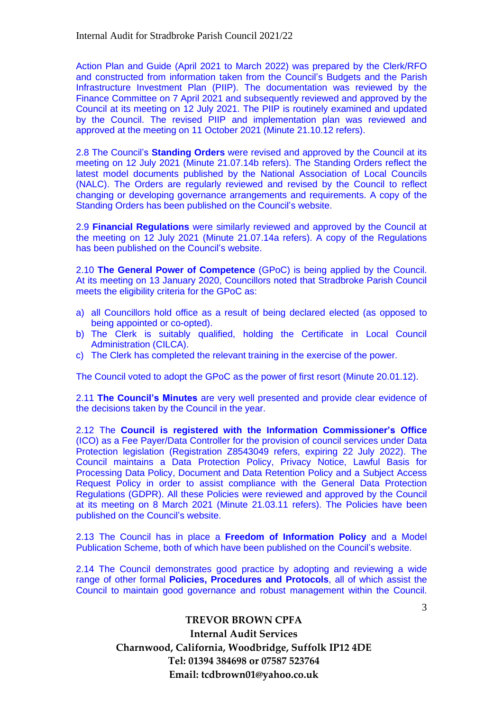Action Plan and Guide (April 2021 to March 2022) was prepared by the Clerk/RFO and constructed from information taken from the Council's Budgets and the Parish Infrastructure Investment Plan (PIIP). The documentation was reviewed by the Finance Committee on 7 April 2021 and subsequently reviewed and approved by the Council at its meeting on 12 July 2021. The PIIP is routinely examined and updated by the Council. The revised PIIP and implementation plan was reviewed and approved at the meeting on 11 October 2021 (Minute 21.10.12 refers).

2.8 The Council's **Standing Orders** were revised and approved by the Council at its meeting on 12 July 2021 (Minute 21.07.14b refers). The Standing Orders reflect the latest model documents published by the National Association of Local Councils (NALC). The Orders are regularly reviewed and revised by the Council to reflect changing or developing governance arrangements and requirements. A copy of the Standing Orders has been published on the Council's website.

2.9 **Financial Regulations** were similarly reviewed and approved by the Council at the meeting on 12 July 2021 (Minute 21.07.14a refers). A copy of the Regulations has been published on the Council's website.

2.10 **The General Power of Competence** (GPoC) is being applied by the Council. At its meeting on 13 January 2020, Councillors noted that Stradbroke Parish Council meets the eligibility criteria for the GPoC as:

- a) all Councillors hold office as a result of being declared elected (as opposed to being appointed or co-opted).
- b) The Clerk is suitably qualified, holding the Certificate in Local Council Administration (CILCA).
- c) The Clerk has completed the relevant training in the exercise of the power.

The Council voted to adopt the GPoC as the power of first resort (Minute 20.01.12).

2.11 **The Council's Minutes** are very well presented and provide clear evidence of the decisions taken by the Council in the year.

2.12 The **Council is registered with the Information Commissioner's Office** (ICO) as a Fee Payer/Data Controller for the provision of council services under Data Protection legislation (Registration Z8543049 refers, expiring 22 July 2022). The Council maintains a Data Protection Policy, Privacy Notice, Lawful Basis for Processing Data Policy, Document and Data Retention Policy and a Subject Access Request Policy in order to assist compliance with the General Data Protection Regulations (GDPR). All these Policies were reviewed and approved by the Council at its meeting on 8 March 2021 (Minute 21.03.11 refers). The Policies have been published on the Council's website.

2.13 The Council has in place a **Freedom of Information Policy** and a Model Publication Scheme, both of which have been published on the Council's website.

2.14 The Council demonstrates good practice by adopting and reviewing a wide range of other formal **Policies, Procedures and Protocols**, all of which assist the Council to maintain good governance and robust management within the Council.

# **TREVOR BROWN CPFA Internal Audit Services Charnwood, California, Woodbridge, Suffolk IP12 4DE Tel: 01394 384698 or 07587 523764 Email: tcdbrown01@yahoo.co.uk**

3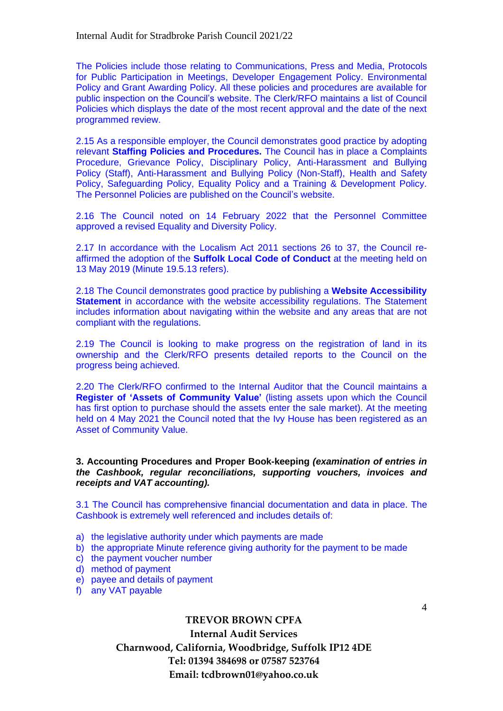The Policies include those relating to Communications, Press and Media, Protocols for Public Participation in Meetings, Developer Engagement Policy. Environmental Policy and Grant Awarding Policy. All these policies and procedures are available for public inspection on the Council's website. The Clerk/RFO maintains a list of Council Policies which displays the date of the most recent approval and the date of the next programmed review.

2.15 As a responsible employer, the Council demonstrates good practice by adopting relevant **Staffing Policies and Procedures.** The Council has in place a Complaints Procedure, Grievance Policy, Disciplinary Policy, Anti-Harassment and Bullying Policy (Staff), Anti-Harassment and Bullying Policy (Non-Staff), Health and Safety Policy, Safeguarding Policy, Equality Policy and a Training & Development Policy. The Personnel Policies are published on the Council's website.

2.16 The Council noted on 14 February 2022 that the Personnel Committee approved a revised Equality and Diversity Policy.

2.17 In accordance with the Localism Act 2011 sections 26 to 37, the Council reaffirmed the adoption of the **Suffolk Local Code of Conduct** at the meeting held on 13 May 2019 (Minute 19.5.13 refers).

2.18 The Council demonstrates good practice by publishing a **Website Accessibility Statement** in accordance with the website accessibility regulations. The Statement includes information about navigating within the website and any areas that are not compliant with the regulations.

2.19 The Council is looking to make progress on the registration of land in its ownership and the Clerk/RFO presents detailed reports to the Council on the progress being achieved.

2.20 The Clerk/RFO confirmed to the Internal Auditor that the Council maintains a **Register of 'Assets of Community Value'** (listing assets upon which the Council has first option to purchase should the assets enter the sale market). At the meeting held on 4 May 2021 the Council noted that the Ivy House has been registered as an Asset of Community Value.

#### **3. Accounting Procedures and Proper Book-keeping** *(examination of entries in the Cashbook, regular reconciliations, supporting vouchers, invoices and receipts and VAT accounting).*

3.1 The Council has comprehensive financial documentation and data in place. The Cashbook is extremely well referenced and includes details of:

- a) the legislative authority under which payments are made
- b) the appropriate Minute reference giving authority for the payment to be made
- c) the payment voucher number
- d) method of payment
- e) payee and details of payment
- f) any VAT payable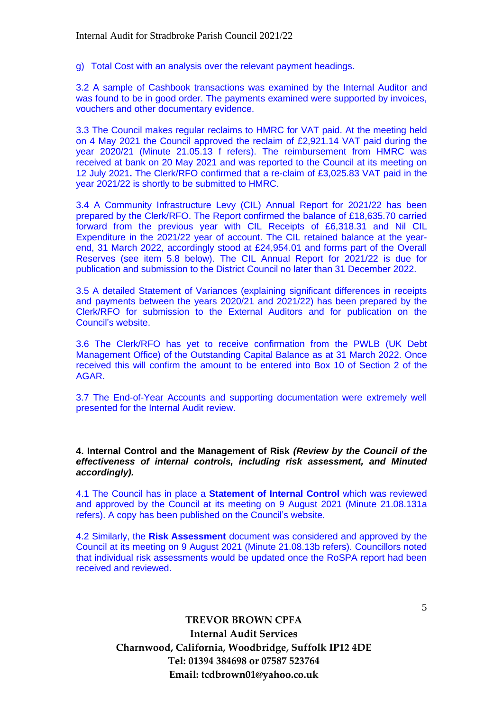g) Total Cost with an analysis over the relevant payment headings.

3.2 A sample of Cashbook transactions was examined by the Internal Auditor and was found to be in good order. The payments examined were supported by invoices, vouchers and other documentary evidence.

3.3 The Council makes regular reclaims to HMRC for VAT paid. At the meeting held on 4 May 2021 the Council approved the reclaim of £2,921.14 VAT paid during the year 2020/21 (Minute 21.05.13 f refers). The reimbursement from HMRC was received at bank on 20 May 2021 and was reported to the Council at its meeting on 12 July 2021**.** The Clerk/RFO confirmed that a re-claim of £3,025.83 VAT paid in the year 2021/22 is shortly to be submitted to HMRC.

3.4 A Community Infrastructure Levy (CIL) Annual Report for 2021/22 has been prepared by the Clerk/RFO. The Report confirmed the balance of £18,635.70 carried forward from the previous year with CIL Receipts of £6,318.31 and Nil CIL Expenditure in the 2021/22 year of account. The CIL retained balance at the yearend, 31 March 2022, accordingly stood at £24,954.01 and forms part of the Overall Reserves (see item 5.8 below). The CIL Annual Report for 2021/22 is due for publication and submission to the District Council no later than 31 December 2022.

3.5 A detailed Statement of Variances (explaining significant differences in receipts and payments between the years 2020/21 and 2021/22) has been prepared by the Clerk/RFO for submission to the External Auditors and for publication on the Council's website.

3.6 The Clerk/RFO has yet to receive confirmation from the PWLB (UK Debt Management Office) of the Outstanding Capital Balance as at 31 March 2022. Once received this will confirm the amount to be entered into Box 10 of Section 2 of the AGAR.

3.7 The End-of-Year Accounts and supporting documentation were extremely well presented for the Internal Audit review.

**4. Internal Control and the Management of Risk** *(Review by the Council of the effectiveness of internal controls, including risk assessment, and Minuted accordingly).*

4.1 The Council has in place a **Statement of Internal Control** which was reviewed and approved by the Council at its meeting on 9 August 2021 (Minute 21.08.131a refers). A copy has been published on the Council's website.

4.2 Similarly, the **Risk Assessment** document was considered and approved by the Council at its meeting on 9 August 2021 (Minute 21.08.13b refers). Councillors noted that individual risk assessments would be updated once the RoSPA report had been received and reviewed.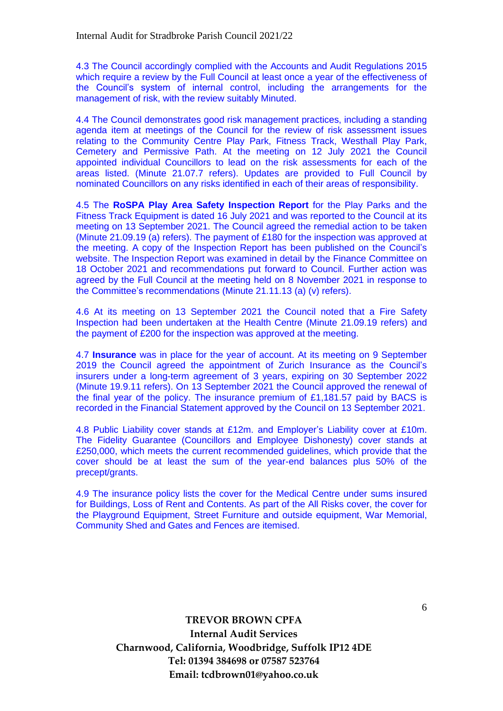4.3 The Council accordingly complied with the Accounts and Audit Regulations 2015 which require a review by the Full Council at least once a year of the effectiveness of the Council's system of internal control, including the arrangements for the management of risk, with the review suitably Minuted.

4.4 The Council demonstrates good risk management practices, including a standing agenda item at meetings of the Council for the review of risk assessment issues relating to the Community Centre Play Park, Fitness Track, Westhall Play Park, Cemetery and Permissive Path. At the meeting on 12 July 2021 the Council appointed individual Councillors to lead on the risk assessments for each of the areas listed. (Minute 21.07.7 refers). Updates are provided to Full Council by nominated Councillors on any risks identified in each of their areas of responsibility.

4.5 The **RoSPA Play Area Safety Inspection Report** for the Play Parks and the Fitness Track Equipment is dated 16 July 2021 and was reported to the Council at its meeting on 13 September 2021. The Council agreed the remedial action to be taken (Minute 21.09.19 (a) refers). The payment of £180 for the inspection was approved at the meeting. A copy of the Inspection Report has been published on the Council's website. The Inspection Report was examined in detail by the Finance Committee on 18 October 2021 and recommendations put forward to Council. Further action was agreed by the Full Council at the meeting held on 8 November 2021 in response to the Committee's recommendations (Minute 21.11.13 (a) (v) refers).

4.6 At its meeting on 13 September 2021 the Council noted that a Fire Safety Inspection had been undertaken at the Health Centre (Minute 21.09.19 refers) and the payment of £200 for the inspection was approved at the meeting.

4.7 **Insurance** was in place for the year of account. At its meeting on 9 September 2019 the Council agreed the appointment of Zurich Insurance as the Council's insurers under a long-term agreement of 3 years, expiring on 30 September 2022 (Minute 19.9.11 refers). On 13 September 2021 the Council approved the renewal of the final year of the policy. The insurance premium of £1,181.57 paid by BACS is recorded in the Financial Statement approved by the Council on 13 September 2021.

4.8 Public Liability cover stands at £12m. and Employer's Liability cover at £10m. The Fidelity Guarantee (Councillors and Employee Dishonesty) cover stands at £250,000, which meets the current recommended guidelines, which provide that the cover should be at least the sum of the year-end balances plus 50% of the precept/grants.

4.9 The insurance policy lists the cover for the Medical Centre under sums insured for Buildings, Loss of Rent and Contents. As part of the All Risks cover, the cover for the Playground Equipment, Street Furniture and outside equipment, War Memorial, Community Shed and Gates and Fences are itemised.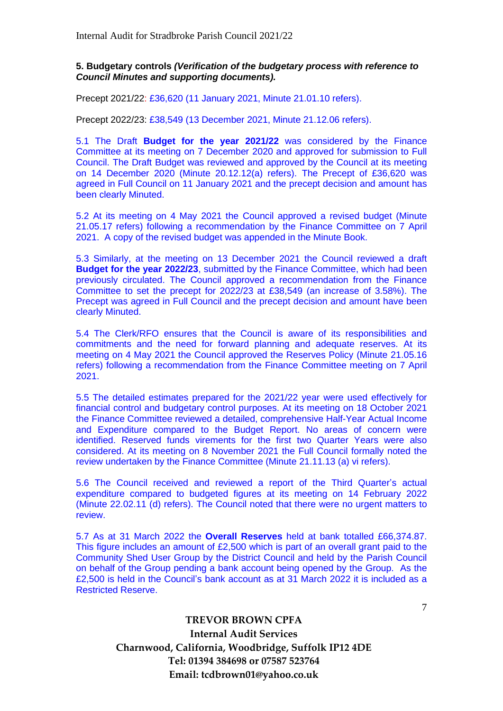# **5. Budgetary controls** *(Verification of the budgetary process with reference to Council Minutes and supporting documents).*

Precept 2021/22: £36,620 (11 January 2021, Minute 21.01.10 refers).

Precept 2022/23: £38,549 (13 December 2021, Minute 21.12.06 refers).

5.1 The Draft **Budget for the year 2021/22** was considered by the Finance Committee at its meeting on 7 December 2020 and approved for submission to Full Council. The Draft Budget was reviewed and approved by the Council at its meeting on 14 December 2020 (Minute 20.12.12(a) refers). The Precept of £36,620 was agreed in Full Council on 11 January 2021 and the precept decision and amount has been clearly Minuted.

5.2 At its meeting on 4 May 2021 the Council approved a revised budget (Minute 21.05.17 refers) following a recommendation by the Finance Committee on 7 April 2021. A copy of the revised budget was appended in the Minute Book.

5.3 Similarly, at the meeting on 13 December 2021 the Council reviewed a draft **Budget for the year 2022/23**, submitted by the Finance Committee, which had been previously circulated. The Council approved a recommendation from the Finance Committee to set the precept for 2022/23 at £38,549 (an increase of 3.58%). The Precept was agreed in Full Council and the precept decision and amount have been clearly Minuted.

5.4 The Clerk/RFO ensures that the Council is aware of its responsibilities and commitments and the need for forward planning and adequate reserves. At its meeting on 4 May 2021 the Council approved the Reserves Policy (Minute 21.05.16 refers) following a recommendation from the Finance Committee meeting on 7 April 2021.

5.5 The detailed estimates prepared for the 2021/22 year were used effectively for financial control and budgetary control purposes. At its meeting on 18 October 2021 the Finance Committee reviewed a detailed, comprehensive Half-Year Actual Income and Expenditure compared to the Budget Report. No areas of concern were identified. Reserved funds virements for the first two Quarter Years were also considered. At its meeting on 8 November 2021 the Full Council formally noted the review undertaken by the Finance Committee (Minute 21.11.13 (a) vi refers).

5.6 The Council received and reviewed a report of the Third Quarter's actual expenditure compared to budgeted figures at its meeting on 14 February 2022 (Minute 22.02.11 (d) refers). The Council noted that there were no urgent matters to review.

5.7 As at 31 March 2022 the **Overall Reserves** held at bank totalled £66,374.87. This figure includes an amount of £2,500 which is part of an overall grant paid to the Community Shed User Group by the District Council and held by the Parish Council on behalf of the Group pending a bank account being opened by the Group. As the £2,500 is held in the Council's bank account as at 31 March 2022 it is included as a Restricted Reserve.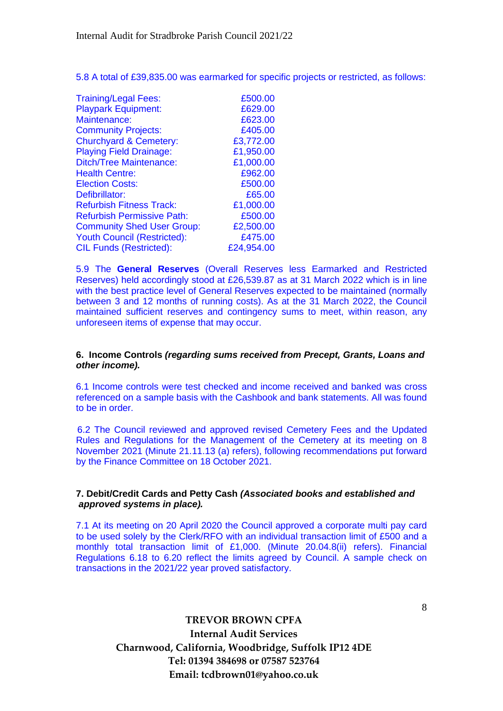5.8 A total of £39,835.00 was earmarked for specific projects or restricted, as follows:

| <b>Training/Legal Fees:</b>        | £500.00    |
|------------------------------------|------------|
| <b>Playpark Equipment:</b>         | £629.00    |
| Maintenance:                       | £623.00    |
| <b>Community Projects:</b>         | £405.00    |
| <b>Churchyard &amp; Cemetery:</b>  | £3,772.00  |
| <b>Playing Field Drainage:</b>     | £1,950.00  |
| <b>Ditch/Tree Maintenance:</b>     | £1,000.00  |
| <b>Health Centre:</b>              | £962.00    |
| <b>Election Costs:</b>             | £500.00    |
| Defibrillator:                     | £65.00     |
| <b>Refurbish Fitness Track:</b>    | £1,000.00  |
| <b>Refurbish Permissive Path:</b>  | £500.00    |
| <b>Community Shed User Group:</b>  | £2,500.00  |
| <b>Youth Council (Restricted):</b> | £475.00    |
| <b>CIL Funds (Restricted):</b>     | £24,954.00 |

5.9 The **General Reserves** (Overall Reserves less Earmarked and Restricted Reserves) held accordingly stood at £26,539.87 as at 31 March 2022 which is in line with the best practice level of General Reserves expected to be maintained (normally between 3 and 12 months of running costs). As at the 31 March 2022, the Council maintained sufficient reserves and contingency sums to meet, within reason, any unforeseen items of expense that may occur.

### **6. Income Controls** *(regarding sums received from Precept, Grants, Loans and other income).*

6.1 Income controls were test checked and income received and banked was cross referenced on a sample basis with the Cashbook and bank statements. All was found to be in order.

6.2 The Council reviewed and approved revised Cemetery Fees and the Updated Rules and Regulations for the Management of the Cemetery at its meeting on 8 November 2021 (Minute 21.11.13 (a) refers), following recommendations put forward by the Finance Committee on 18 October 2021.

# **7. Debit/Credit Cards and Petty Cash** *(Associated books and established and approved systems in place).*

7.1 At its meeting on 20 April 2020 the Council approved a corporate multi pay card to be used solely by the Clerk/RFO with an individual transaction limit of £500 and a monthly total transaction limit of £1,000. (Minute 20.04.8(ii) refers). Financial Regulations 6.18 to 6.20 reflect the limits agreed by Council. A sample check on transactions in the 2021/22 year proved satisfactory.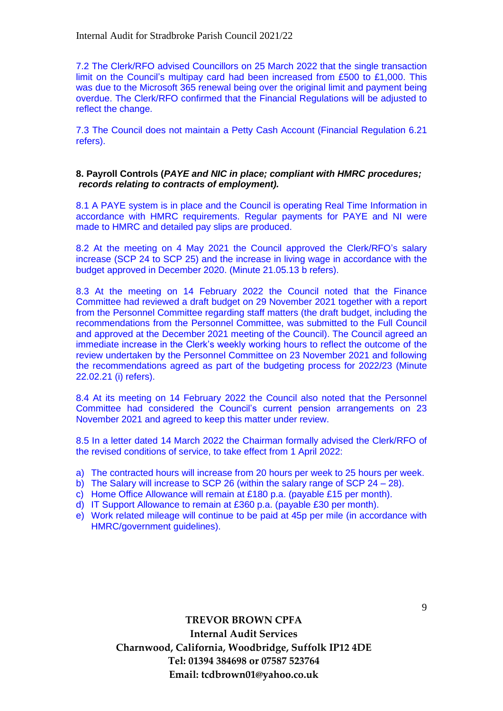7.2 The Clerk/RFO advised Councillors on 25 March 2022 that the single transaction limit on the Council's multipay card had been increased from £500 to £1,000. This was due to the Microsoft 365 renewal being over the original limit and payment being overdue. The Clerk/RFO confirmed that the Financial Regulations will be adjusted to reflect the change.

7.3 The Council does not maintain a Petty Cash Account (Financial Regulation 6.21 refers).

# **8. Payroll Controls (***PAYE and NIC in place; compliant with HMRC procedures; records relating to contracts of employment).*

8.1 A PAYE system is in place and the Council is operating Real Time Information in accordance with HMRC requirements. Regular payments for PAYE and NI were made to HMRC and detailed pay slips are produced.

8.2 At the meeting on 4 May 2021 the Council approved the Clerk/RFO's salary increase (SCP 24 to SCP 25) and the increase in living wage in accordance with the budget approved in December 2020. (Minute 21.05.13 b refers).

8.3 At the meeting on 14 February 2022 the Council noted that the Finance Committee had reviewed a draft budget on 29 November 2021 together with a report from the Personnel Committee regarding staff matters (the draft budget, including the recommendations from the Personnel Committee, was submitted to the Full Council and approved at the December 2021 meeting of the Council). The Council agreed an immediate increase in the Clerk's weekly working hours to reflect the outcome of the review undertaken by the Personnel Committee on 23 November 2021 and following the recommendations agreed as part of the budgeting process for 2022/23 (Minute 22.02.21 (i) refers).

8.4 At its meeting on 14 February 2022 the Council also noted that the Personnel Committee had considered the Council's current pension arrangements on 23 November 2021 and agreed to keep this matter under review.

8.5 In a letter dated 14 March 2022 the Chairman formally advised the Clerk/RFO of the revised conditions of service, to take effect from 1 April 2022:

- a) The contracted hours will increase from 20 hours per week to 25 hours per week.
- b) The Salary will increase to SCP 26 (within the salary range of SCP 24 28).
- c) Home Office Allowance will remain at £180 p.a. (payable £15 per month).
- d) IT Support Allowance to remain at £360 p.a. (payable £30 per month).
- e) Work related mileage will continue to be paid at 45p per mile (in accordance with HMRC/government guidelines).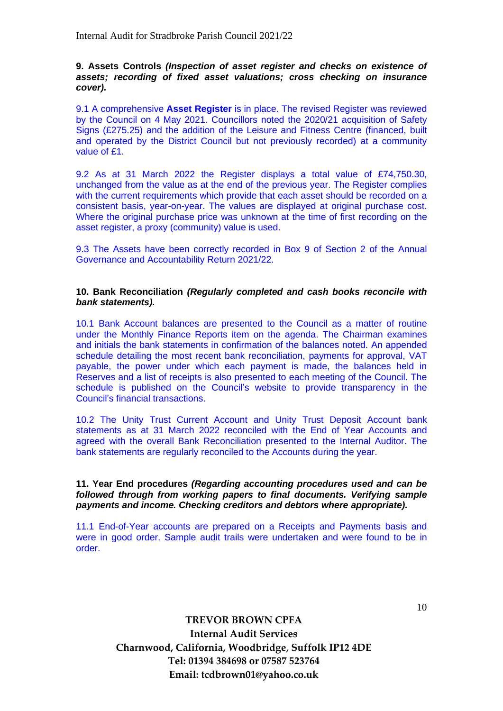## **9. Assets Controls** *(Inspection of asset register and checks on existence of assets; recording of fixed asset valuations; cross checking on insurance cover).*

9.1 A comprehensive **Asset Register** is in place. The revised Register was reviewed by the Council on 4 May 2021. Councillors noted the 2020/21 acquisition of Safety Signs (£275.25) and the addition of the Leisure and Fitness Centre (financed, built and operated by the District Council but not previously recorded) at a community value of £1.

9.2 As at 31 March 2022 the Register displays a total value of £74,750.30, unchanged from the value as at the end of the previous year. The Register complies with the current requirements which provide that each asset should be recorded on a consistent basis, year-on-year. The values are displayed at original purchase cost. Where the original purchase price was unknown at the time of first recording on the asset register, a proxy (community) value is used.

9.3 The Assets have been correctly recorded in Box 9 of Section 2 of the Annual Governance and Accountability Return 2021/22.

### **10. Bank Reconciliation** *(Regularly completed and cash books reconcile with bank statements).*

10.1 Bank Account balances are presented to the Council as a matter of routine under the Monthly Finance Reports item on the agenda. The Chairman examines and initials the bank statements in confirmation of the balances noted. An appended schedule detailing the most recent bank reconciliation, payments for approval, VAT payable, the power under which each payment is made, the balances held in Reserves and a list of receipts is also presented to each meeting of the Council. The schedule is published on the Council's website to provide transparency in the Council's financial transactions.

10.2 The Unity Trust Current Account and Unity Trust Deposit Account bank statements as at 31 March 2022 reconciled with the End of Year Accounts and agreed with the overall Bank Reconciliation presented to the Internal Auditor. The bank statements are regularly reconciled to the Accounts during the year.

**11. Year End procedures** *(Regarding accounting procedures used and can be followed through from working papers to final documents. Verifying sample payments and income. Checking creditors and debtors where appropriate).*

11.1 End-of-Year accounts are prepared on a Receipts and Payments basis and were in good order. Sample audit trails were undertaken and were found to be in order.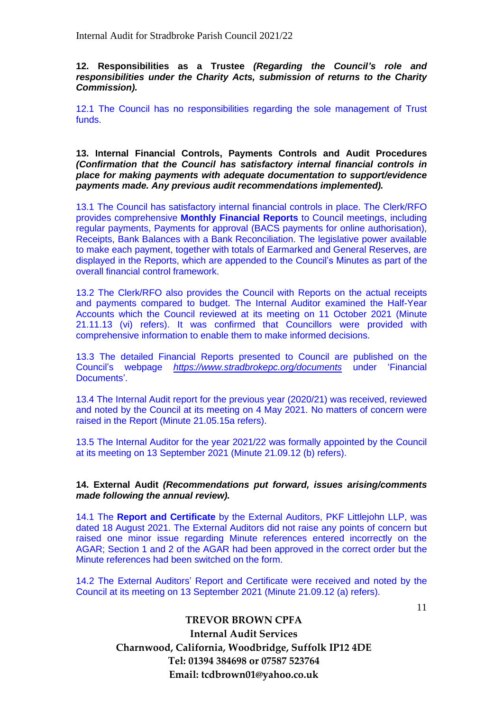**12. Responsibilities as a Trustee** *(Regarding the Council's role and responsibilities under the Charity Acts, submission of returns to the Charity Commission).*

12.1 The Council has no responsibilities regarding the sole management of Trust funds.

**13. Internal Financial Controls, Payments Controls and Audit Procedures**  *(Confirmation that the Council has satisfactory internal financial controls in place for making payments with adequate documentation to support/evidence payments made. Any previous audit recommendations implemented).*

13.1 The Council has satisfactory internal financial controls in place. The Clerk/RFO provides comprehensive **Monthly Financial Reports** to Council meetings, including regular payments, Payments for approval (BACS payments for online authorisation), Receipts, Bank Balances with a Bank Reconciliation. The legislative power available to make each payment, together with totals of Earmarked and General Reserves, are displayed in the Reports, which are appended to the Council's Minutes as part of the overall financial control framework.

13.2 The Clerk/RFO also provides the Council with Reports on the actual receipts and payments compared to budget. The Internal Auditor examined the Half-Year Accounts which the Council reviewed at its meeting on 11 October 2021 (Minute 21.11.13 (vi) refers). It was confirmed that Councillors were provided with comprehensive information to enable them to make informed decisions.

13.3 The detailed Financial Reports presented to Council are published on the Council's webpage *https://www.stradbrokepc.org/documents* under 'Financial Documents'.

13.4 The Internal Audit report for the previous year (2020/21) was received, reviewed and noted by the Council at its meeting on 4 May 2021. No matters of concern were raised in the Report (Minute 21.05.15a refers).

13.5 The Internal Auditor for the year 2021/22 was formally appointed by the Council at its meeting on 13 September 2021 (Minute 21.09.12 (b) refers).

#### **14. External Audit** *(Recommendations put forward, issues arising/comments made following the annual review).*

14.1 The **Report and Certificate** by the External Auditors, PKF Littlejohn LLP, was dated 18 August 2021. The External Auditors did not raise any points of concern but raised one minor issue regarding Minute references entered incorrectly on the AGAR; Section 1 and 2 of the AGAR had been approved in the correct order but the Minute references had been switched on the form.

14.2 The External Auditors' Report and Certificate were received and noted by the Council at its meeting on 13 September 2021 (Minute 21.09.12 (a) refers).

11